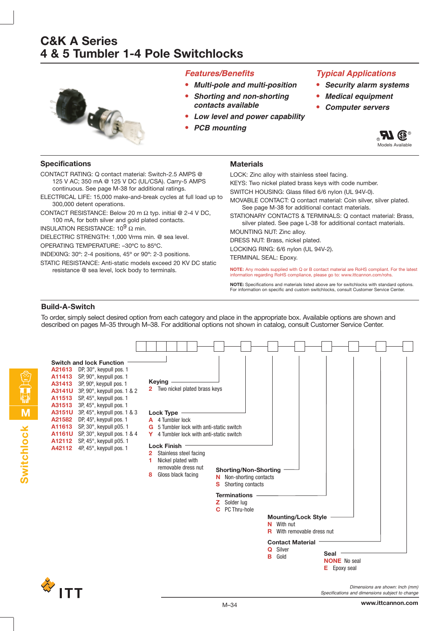

### **Features/Benefits**

- **• Multi-pole and multi-position • Shorting and non-shorting**
- **contacts available**
- **• Low level and power capability**
- **• PCB mounting**

### **Typical Applications**

- **• Security alarm systems**
- **• Medical equipment**
- **• Computer servers**

**RIGE® Models Available** 

### **Specifications**

**Materials**

CONTACT RATING: Q contact material: Switch-2.5 AMPS @ 125 V AC; 350 mA @ 125 V DC (UL/CSA). Carry-5 AMPS continuous. See page M-38 for additional ratings.

- ELECTRICAL LIFE: 15,000 make-and-break cycles at full load up to 300,000 detent operations.
- CONTACT RESISTANCE: Below 20 m  $\Omega$  typ. initial @ 2-4 V DC, 100 mA, for both silver and gold plated contacts.

INSULATION RESISTANCE:  $10^9$  Ω min.

DIELECTRIC STRENGTH: 1,000 Vrms min. @ sea level.

OPERATING TEMPERATURE: –30ºC to 85ºC.

INDEXING: 30º: 2-4 positions, 45º or 90º: 2-3 positions.

STATIC RESISTANCE: Anti-static models exceed 20 KV DC static resistance @ sea level, lock body to terminals.

LOCK: Zinc alloy with stainless steel facing.

- KEYS: Two nickel plated brass keys with code number. SWITCH HOUSING: Glass filled 6/6 nylon (UL 94V-0).
- 
- MOVABLE CONTACT: Q contact material: Coin silver, silver plated. See page M-38 for additional contact materials.

STATIONARY CONTACTS & TERMINALS: Q contact material: Brass, silver plated. See page L-38 for additional contact materials.

MOUNTING NUT: Zinc alloy.

DRESS NUT: Brass, nickel plated.

LOCKING RING: 6/6 nylon (UL 94V-2).

TERMINAL SEAL: Epoxy.

**NOTE:** Any models supplied with Q or B contact material are RoHS compliant. For the latest information regarding RoHS compliance, please go to: www.ittcannon.com/rohs.

**NOTE:** Specifications and materials listed above are for switchlocks with standard options. For information on specific and custom switchlocks, consult Customer Service Center.

### **Build-A-Switch**

To order, simply select desired option from each category and place in the appropriate box. Available options are shown and described on pages M–35 through M–38. For additional options not shown in catalog, consult Customer Service Center.



Specifications and dimensions subject to change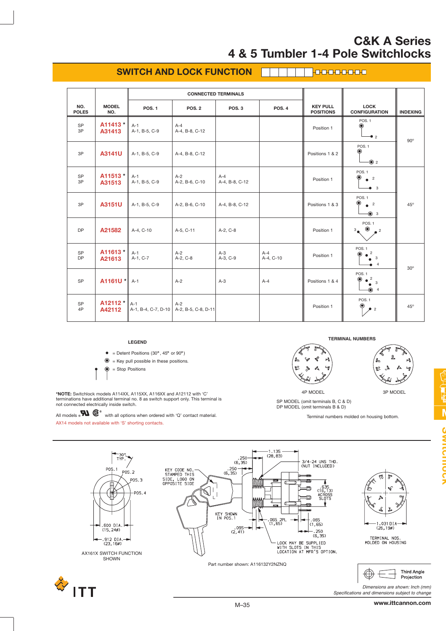#### **SWITCH AND LOCK FUNCTION TROODOOO**

|                        |                     |                              | <b>CONNECTED TERMINALS</b>   |                         |                    |                                     |                                                                                    |                 |  |
|------------------------|---------------------|------------------------------|------------------------------|-------------------------|--------------------|-------------------------------------|------------------------------------------------------------------------------------|-----------------|--|
| NO.<br><b>POLES</b>    | <b>MODEL</b><br>NO. | <b>POS. 1</b>                | <b>POS. 2</b>                | POS <sub>3</sub>        | <b>POS. 4</b>      | <b>KEY PULL</b><br><b>POSITIONS</b> | <b>LOCK</b><br><b>CONFIGURATION</b>                                                | <b>INDEXING</b> |  |
| <b>SP</b><br>3P        | A11413 *<br>A31413  | $A-1$<br>A-1, B-5, C-9       | $A-4$<br>A-4, B-8, C-12      |                         |                    | Position 1                          | <b>POS. 1</b><br>◉<br>$\bullet$ 2                                                  | $90^\circ$      |  |
| 3P                     | A3141U              | A-1, B-5, C-9                | A-4, B-8, C-12               |                         |                    | Positions 1 & 2                     | <b>POS. 1</b><br>◉<br>-◉ 2                                                         |                 |  |
| SP<br>3P               | A11513*<br>A31513   | $A-1$<br>A-1, B-5, C-9       | $A-2$<br>A-2, B-6, C-10      | $A-4$<br>A-4, B-8, C-12 |                    | Position 1                          | <b>POS.1</b><br>$\bullet$<br>$^{\circ}$ $^{\circ}$<br>$\bullet$ 3                  |                 |  |
| 3P                     | A3151U              | A-1, B-5, C-9                | A-2, B-6, C-10               | A-4, B-8, C-12          |                    | Positions 1 & 3                     | <b>POS. 1</b><br>◉<br>$^{\circ}$ 2<br>$\odot$ 3                                    | 45°             |  |
| <b>DP</b>              | A21582              | A-4, C-10                    | A-5, C-11                    | A-2, C-8                |                    | Position 1                          | <b>POS. 1</b><br>$\bullet$<br>$3_{\bullet}$<br>$\sim$ 2                            |                 |  |
| <b>SP</b><br><b>DP</b> | A11613 *<br>A21613  | $A-1$<br>A-1, C-7            | $A-2$<br>A-2, C-8            | $A-3$<br>A-3, C-9       | $A-4$<br>A-4, C-10 | Position 1                          | POS.1<br>$\overline{c}$<br>3<br>$\overline{4}$                                     | $30^\circ$      |  |
| SP                     | $A1161U$ *          | $A-1$                        | $A-2$                        | $A-3$                   | $A - 4$            | Positions 1 & 4                     | POS.1<br>$\bullet$ <sup>2</sup><br>$\circledbullet$<br>$\bullet$ 3<br>$\bigcirc$ 4 |                 |  |
| SP<br>4P               | A12112 *<br>A42112  | $A-1$<br>A-1, B-4, C-7, D-10 | $A-2$<br>A-2, B-5, C-8, D-11 |                         |                    | Position 1                          | POS. <sub>1</sub><br>◉<br>$2^{\circ}$                                              | $45^{\circ}$    |  |

#### **LEGEND**



 $\circledast$  = Key pull possible in these positions.

 $\odot$ = Stop Positions

**\*NOTE:** Switchlock models A114XX, A115XX, A116XX and A12112 with 'C' terminations have additional terminal no. 8 as switch support only. This terminal is not connected electrically inside switch.

All models  $\circ\mathbf{N}$   $\circledast^{\circ}$  with all options when ordered with 'Q' contact material. AX14 models not available with 'S' shorting contacts.







4P MODEL 3P MODEL SP MODEL (omit terminals B, C & D) DP MODEL (omit terminals B & D)

Terminal numbers molded on housing bottom.



Specifications and dimensions subject to change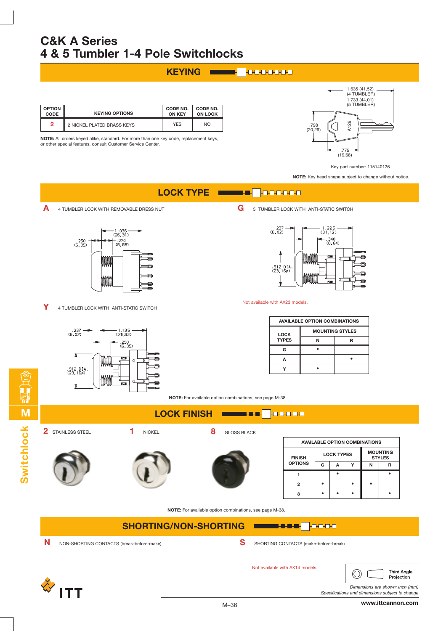## **KEYING**

| <b>OPTION</b><br><b>CODE</b> | <b>KEYING OPTIONS</b>      | <b>CODE NO.</b><br><b>ON KEY</b> | CODE NO.<br><b>ON LOCK</b> |
|------------------------------|----------------------------|----------------------------------|----------------------------|
| 2                            | 2 NICKEL PLATED BRASS KEYS | <b>YES</b>                       | <b>NO</b>                  |

**NOTE:** All orders keyed alike, standard. For more than one key code, replacement keys, or other special features, consult Customer Service Center.



Key part number: 115140126

**NOTE:** Key head shape subject to change without notice.

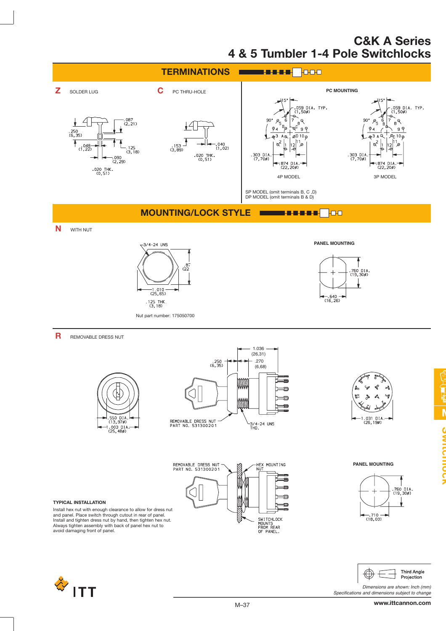



Dimensions are shown: Inch (mm) Specifications and dimensions subject to change

and panel. Place switch through cutout in rear of panel. Install and tighten dress nut by hand, then tighten hex nut. Always tighten assembly with back of panel hex nut to avoid damaging front of panel.



**www.ittcannon.com**

**M**

I.

**Switchlock**

**OWINDUCT**